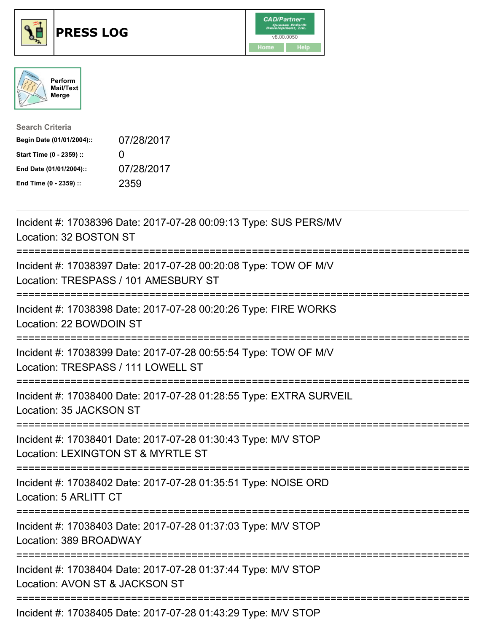





| <b>Search Criteria</b>    |              |
|---------------------------|--------------|
| Begin Date (01/01/2004):: | 07/28/2017   |
| Start Time (0 - 2359) ::  | $\mathbf{I}$ |
| End Date (01/01/2004)::   | 07/28/2017   |
| End Time (0 - 2359) ::    | 2359         |

| Incident #: 17038396 Date: 2017-07-28 00:09:13 Type: SUS PERS/MV<br>Location: 32 BOSTON ST                            |
|-----------------------------------------------------------------------------------------------------------------------|
| Incident #: 17038397 Date: 2017-07-28 00:20:08 Type: TOW OF M/V<br>Location: TRESPASS / 101 AMESBURY ST               |
| Incident #: 17038398 Date: 2017-07-28 00:20:26 Type: FIRE WORKS<br>Location: 22 BOWDOIN ST                            |
| Incident #: 17038399 Date: 2017-07-28 00:55:54 Type: TOW OF M/V<br>Location: TRESPASS / 111 LOWELL ST                 |
| Incident #: 17038400 Date: 2017-07-28 01:28:55 Type: EXTRA SURVEIL<br>Location: 35 JACKSON ST                         |
| Incident #: 17038401 Date: 2017-07-28 01:30:43 Type: M/V STOP<br>Location: LEXINGTON ST & MYRTLE ST<br>-------------- |
| Incident #: 17038402 Date: 2017-07-28 01:35:51 Type: NOISE ORD<br>Location: 5 ARLITT CT                               |
| Incident #: 17038403 Date: 2017-07-28 01:37:03 Type: M/V STOP<br>Location: 389 BROADWAY                               |
| Incident #: 17038404 Date: 2017-07-28 01:37:44 Type: M/V STOP<br>Location: AVON ST & JACKSON ST                       |
| Incident #: 17038405 Date: 2017-07-28 01:43:29 Type: M/V STOP                                                         |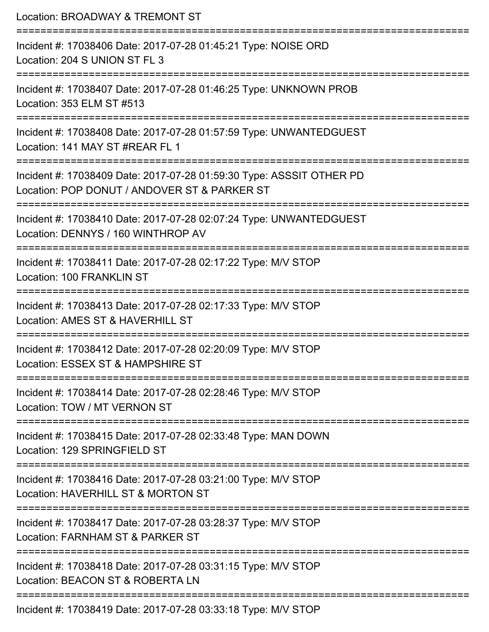| Location: BROADWAY & TREMONT ST                                                                                                   |
|-----------------------------------------------------------------------------------------------------------------------------------|
| Incident #: 17038406 Date: 2017-07-28 01:45:21 Type: NOISE ORD<br>Location: 204 S UNION ST FL 3                                   |
| Incident #: 17038407 Date: 2017-07-28 01:46:25 Type: UNKNOWN PROB<br>Location: 353 ELM ST #513                                    |
| Incident #: 17038408 Date: 2017-07-28 01:57:59 Type: UNWANTEDGUEST<br>Location: 141 MAY ST #REAR FL 1                             |
| Incident #: 17038409 Date: 2017-07-28 01:59:30 Type: ASSSIT OTHER PD<br>Location: POP DONUT / ANDOVER ST & PARKER ST              |
| Incident #: 17038410 Date: 2017-07-28 02:07:24 Type: UNWANTEDGUEST<br>Location: DENNYS / 160 WINTHROP AV<br>--------------------- |
| Incident #: 17038411 Date: 2017-07-28 02:17:22 Type: M/V STOP<br>Location: 100 FRANKLIN ST                                        |
| Incident #: 17038413 Date: 2017-07-28 02:17:33 Type: M/V STOP<br>Location: AMES ST & HAVERHILL ST                                 |
| ==================<br>Incident #: 17038412 Date: 2017-07-28 02:20:09 Type: M/V STOP<br>Location: ESSEX ST & HAMPSHIRE ST          |
| Incident #: 17038414 Date: 2017-07-28 02:28:46 Type: M/V STOP<br>Location: TOW / MT VERNON ST                                     |
| Incident #: 17038415 Date: 2017-07-28 02:33:48 Type: MAN DOWN<br>Location: 129 SPRINGFIELD ST                                     |
| Incident #: 17038416 Date: 2017-07-28 03:21:00 Type: M/V STOP<br>Location: HAVERHILL ST & MORTON ST                               |
| Incident #: 17038417 Date: 2017-07-28 03:28:37 Type: M/V STOP<br>Location: FARNHAM ST & PARKER ST                                 |
| Incident #: 17038418 Date: 2017-07-28 03:31:15 Type: M/V STOP<br>Location: BEACON ST & ROBERTA LN                                 |
|                                                                                                                                   |

Incident #: 17038419 Date: 2017-07-28 03:33:18 Type: M/V STOP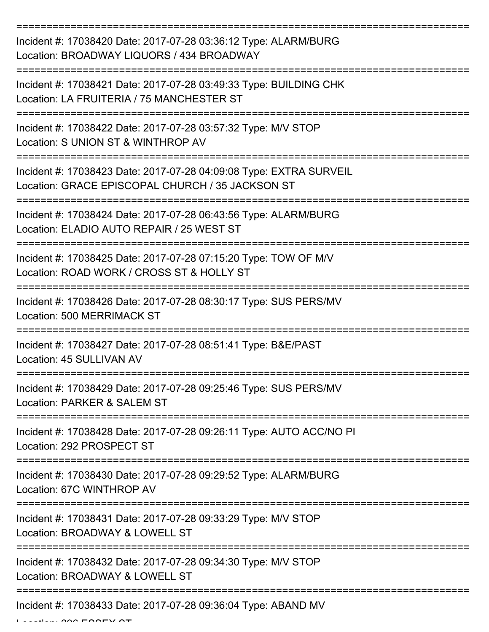| Incident #: 17038420 Date: 2017-07-28 03:36:12 Type: ALARM/BURG<br>Location: BROADWAY LIQUORS / 434 BROADWAY                         |
|--------------------------------------------------------------------------------------------------------------------------------------|
| Incident #: 17038421 Date: 2017-07-28 03:49:33 Type: BUILDING CHK<br>Location: LA FRUITERIA / 75 MANCHESTER ST                       |
| Incident #: 17038422 Date: 2017-07-28 03:57:32 Type: M/V STOP<br>Location: S UNION ST & WINTHROP AV                                  |
| Incident #: 17038423 Date: 2017-07-28 04:09:08 Type: EXTRA SURVEIL<br>Location: GRACE EPISCOPAL CHURCH / 35 JACKSON ST               |
| Incident #: 17038424 Date: 2017-07-28 06:43:56 Type: ALARM/BURG<br>Location: ELADIO AUTO REPAIR / 25 WEST ST<br>=============        |
| Incident #: 17038425 Date: 2017-07-28 07:15:20 Type: TOW OF M/V<br>Location: ROAD WORK / CROSS ST & HOLLY ST                         |
| Incident #: 17038426 Date: 2017-07-28 08:30:17 Type: SUS PERS/MV<br><b>Location: 500 MERRIMACK ST</b>                                |
| Incident #: 17038427 Date: 2017-07-28 08:51:41 Type: B&E/PAST<br>Location: 45 SULLIVAN AV                                            |
| Incident #: 17038429 Date: 2017-07-28 09:25:46 Type: SUS PERS/MV<br>Location: PARKER & SALEM ST                                      |
| Incident #: 17038428 Date: 2017-07-28 09:26:11 Type: AUTO ACC/NO PI<br>Location: 292 PROSPECT ST                                     |
| Incident #: 17038430 Date: 2017-07-28 09:29:52 Type: ALARM/BURG<br>Location: 67C WINTHROP AV                                         |
| -================================<br>Incident #: 17038431 Date: 2017-07-28 09:33:29 Type: M/V STOP<br>Location: BROADWAY & LOWELL ST |
| Incident #: 17038432 Date: 2017-07-28 09:34:30 Type: M/V STOP<br>Location: BROADWAY & LOWELL ST                                      |
| -------------------------------------<br>Incident #: 17038433 Date: 2017-07-28 09:36:04 Type: ABAND MV                               |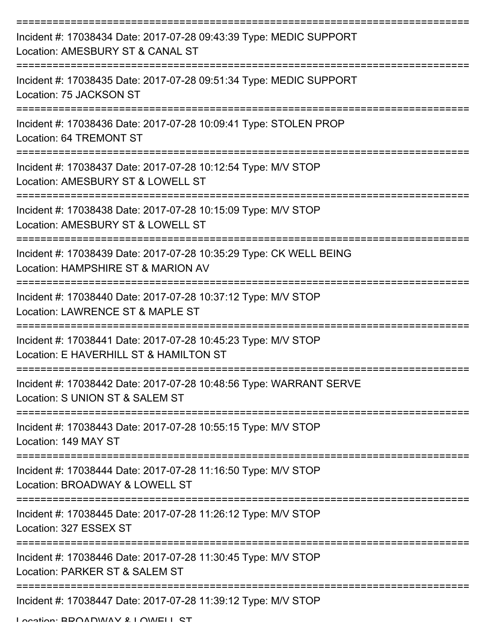| Incident #: 17038434 Date: 2017-07-28 09:43:39 Type: MEDIC SUPPORT<br>Location: AMESBURY ST & CANAL ST   |
|----------------------------------------------------------------------------------------------------------|
| Incident #: 17038435 Date: 2017-07-28 09:51:34 Type: MEDIC SUPPORT<br>Location: 75 JACKSON ST            |
| Incident #: 17038436 Date: 2017-07-28 10:09:41 Type: STOLEN PROP<br>Location: 64 TREMONT ST              |
| Incident #: 17038437 Date: 2017-07-28 10:12:54 Type: M/V STOP<br>Location: AMESBURY ST & LOWELL ST       |
| Incident #: 17038438 Date: 2017-07-28 10:15:09 Type: M/V STOP<br>Location: AMESBURY ST & LOWELL ST       |
| Incident #: 17038439 Date: 2017-07-28 10:35:29 Type: CK WELL BEING<br>Location: HAMPSHIRE ST & MARION AV |
| Incident #: 17038440 Date: 2017-07-28 10:37:12 Type: M/V STOP<br>Location: LAWRENCE ST & MAPLE ST        |
| Incident #: 17038441 Date: 2017-07-28 10:45:23 Type: M/V STOP<br>Location: E HAVERHILL ST & HAMILTON ST  |
| Incident #: 17038442 Date: 2017-07-28 10:48:56 Type: WARRANT SERVE<br>Location: S UNION ST & SALEM ST    |
| Incident #: 17038443 Date: 2017-07-28 10:55:15 Type: M/V STOP<br>Location: 149 MAY ST                    |
| Incident #: 17038444 Date: 2017-07-28 11:16:50 Type: M/V STOP<br>Location: BROADWAY & LOWELL ST          |
| Incident #: 17038445 Date: 2017-07-28 11:26:12 Type: M/V STOP<br>Location: 327 ESSEX ST                  |
| Incident #: 17038446 Date: 2017-07-28 11:30:45 Type: M/V STOP<br>Location: PARKER ST & SALEM ST          |
| Incident #: 17038447 Date: 2017-07-28 11:39:12 Type: M/V STOP<br>I occion: BDOADWAV & I OWELL CT         |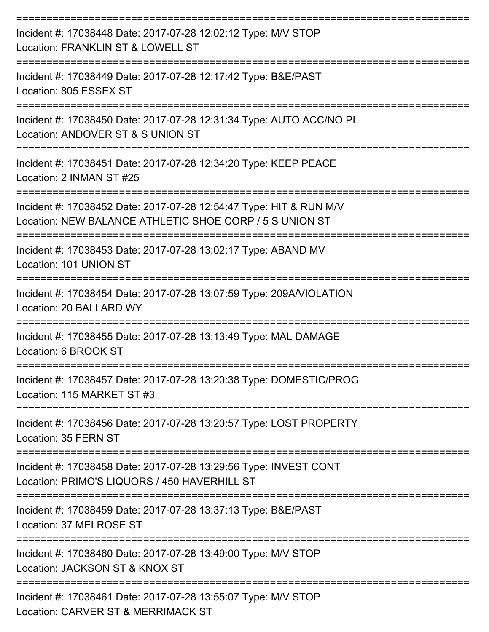| Incident #: 17038448 Date: 2017-07-28 12:02:12 Type: M/V STOP<br>Location: FRANKLIN ST & LOWELL ST                            |
|-------------------------------------------------------------------------------------------------------------------------------|
| Incident #: 17038449 Date: 2017-07-28 12:17:42 Type: B&E/PAST<br>Location: 805 ESSEX ST                                       |
| Incident #: 17038450 Date: 2017-07-28 12:31:34 Type: AUTO ACC/NO PI<br>Location: ANDOVER ST & S UNION ST                      |
| Incident #: 17038451 Date: 2017-07-28 12:34:20 Type: KEEP PEACE<br>Location: 2 INMAN ST #25                                   |
| Incident #: 17038452 Date: 2017-07-28 12:54:47 Type: HIT & RUN M/V<br>Location: NEW BALANCE ATHLETIC SHOE CORP / 5 S UNION ST |
| Incident #: 17038453 Date: 2017-07-28 13:02:17 Type: ABAND MV<br>Location: 101 UNION ST                                       |
| Incident #: 17038454 Date: 2017-07-28 13:07:59 Type: 209A/VIOLATION<br>Location: 20 BALLARD WY                                |
| Incident #: 17038455 Date: 2017-07-28 13:13:49 Type: MAL DAMAGE<br>Location: 6 BROOK ST                                       |
| Incident #: 17038457 Date: 2017-07-28 13:20:38 Type: DOMESTIC/PROG<br>Location: 115 MARKET ST #3                              |
| Incident #: 17038456 Date: 2017-07-28 13:20:57 Type: LOST PROPERTY<br>Location: 35 FERN ST                                    |
| Incident #: 17038458 Date: 2017-07-28 13:29:56 Type: INVEST CONT<br>Location: PRIMO'S LIQUORS / 450 HAVERHILL ST              |
| Incident #: 17038459 Date: 2017-07-28 13:37:13 Type: B&E/PAST<br>Location: 37 MELROSE ST                                      |
| Incident #: 17038460 Date: 2017-07-28 13:49:00 Type: M/V STOP<br>Location: JACKSON ST & KNOX ST                               |
| Incident #: 17038461 Date: 2017-07-28 13:55:07 Type: M/V STOP<br>Location: CARVER ST & MERRIMACK ST                           |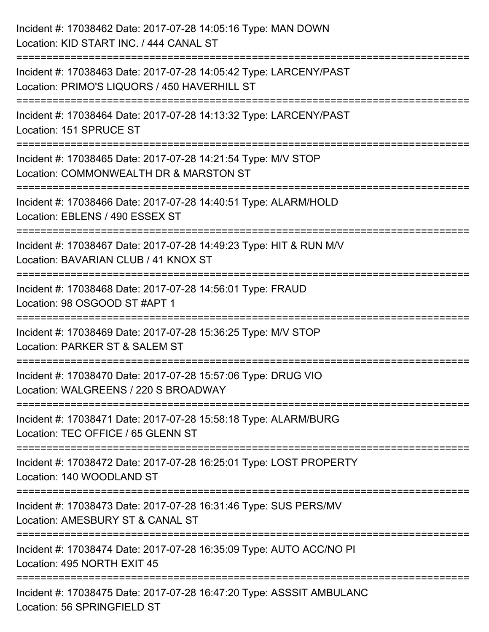| Incident #: 17038462 Date: 2017-07-28 14:05:16 Type: MAN DOWN<br>Location: KID START INC. / 444 CANAL ST                                                              |
|-----------------------------------------------------------------------------------------------------------------------------------------------------------------------|
| ===============================<br>Incident #: 17038463 Date: 2017-07-28 14:05:42 Type: LARCENY/PAST<br>Location: PRIMO'S LIQUORS / 450 HAVERHILL ST                  |
| Incident #: 17038464 Date: 2017-07-28 14:13:32 Type: LARCENY/PAST<br>Location: 151 SPRUCE ST                                                                          |
| =================================<br>Incident #: 17038465 Date: 2017-07-28 14:21:54 Type: M/V STOP<br>Location: COMMONWEALTH DR & MARSTON ST<br>:==================== |
| Incident #: 17038466 Date: 2017-07-28 14:40:51 Type: ALARM/HOLD<br>Location: EBLENS / 490 ESSEX ST<br>==========================                                      |
| Incident #: 17038467 Date: 2017-07-28 14:49:23 Type: HIT & RUN M/V<br>Location: BAVARIAN CLUB / 41 KNOX ST                                                            |
| Incident #: 17038468 Date: 2017-07-28 14:56:01 Type: FRAUD<br>Location: 98 OSGOOD ST #APT 1                                                                           |
| Incident #: 17038469 Date: 2017-07-28 15:36:25 Type: M/V STOP<br>Location: PARKER ST & SALEM ST                                                                       |
| Incident #: 17038470 Date: 2017-07-28 15:57:06 Type: DRUG VIO<br>Location: WALGREENS / 220 S BROADWAY                                                                 |
| Incident #: 17038471 Date: 2017-07-28 15:58:18 Type: ALARM/BURG<br>Location: TEC OFFICE / 65 GLENN ST                                                                 |
| Incident #: 17038472 Date: 2017-07-28 16:25:01 Type: LOST PROPERTY<br>Location: 140 WOODLAND ST                                                                       |
| Incident #: 17038473 Date: 2017-07-28 16:31:46 Type: SUS PERS/MV<br>Location: AMESBURY ST & CANAL ST                                                                  |
| Incident #: 17038474 Date: 2017-07-28 16:35:09 Type: AUTO ACC/NO PI<br>Location: 495 NORTH EXIT 45                                                                    |
| Incident #: 17038475 Date: 2017-07-28 16:47:20 Type: ASSSIT AMBULANC<br>Location: 56 SPRINGFIELD ST                                                                   |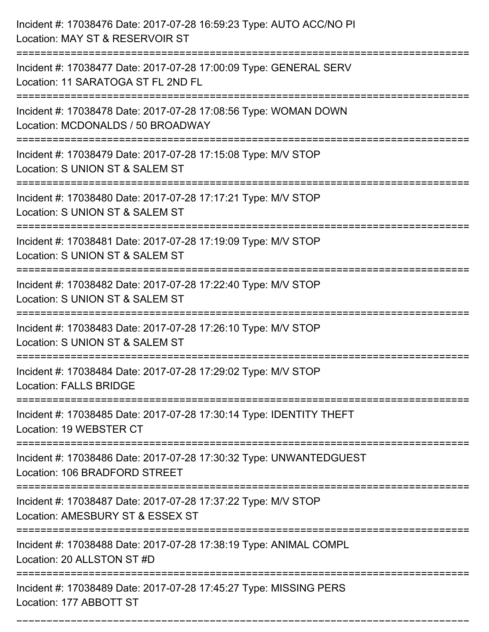| Incident #: 17038476 Date: 2017-07-28 16:59:23 Type: AUTO ACC/NO PI<br>Location: MAY ST & RESERVOIR ST<br>=========================   |
|---------------------------------------------------------------------------------------------------------------------------------------|
| Incident #: 17038477 Date: 2017-07-28 17:00:09 Type: GENERAL SERV<br>Location: 11 SARATOGA ST FL 2ND FL                               |
| Incident #: 17038478 Date: 2017-07-28 17:08:56 Type: WOMAN DOWN<br>Location: MCDONALDS / 50 BROADWAY<br>:============================ |
| Incident #: 17038479 Date: 2017-07-28 17:15:08 Type: M/V STOP<br>Location: S UNION ST & SALEM ST                                      |
| Incident #: 17038480 Date: 2017-07-28 17:17:21 Type: M/V STOP<br>Location: S UNION ST & SALEM ST<br>=========================         |
| Incident #: 17038481 Date: 2017-07-28 17:19:09 Type: M/V STOP<br>Location: S UNION ST & SALEM ST                                      |
| Incident #: 17038482 Date: 2017-07-28 17:22:40 Type: M/V STOP<br>Location: S UNION ST & SALEM ST<br>:============                     |
| Incident #: 17038483 Date: 2017-07-28 17:26:10 Type: M/V STOP<br>Location: S UNION ST & SALEM ST                                      |
| Incident #: 17038484 Date: 2017-07-28 17:29:02 Type: M/V STOP<br><b>Location: FALLS BRIDGE</b>                                        |
| Incident #: 17038485 Date: 2017-07-28 17:30:14 Type: IDENTITY THEFT<br>Location: 19 WEBSTER CT<br>==============================      |
| Incident #: 17038486 Date: 2017-07-28 17:30:32 Type: UNWANTEDGUEST<br>Location: 106 BRADFORD STREET                                   |
| Incident #: 17038487 Date: 2017-07-28 17:37:22 Type: M/V STOP<br>Location: AMESBURY ST & ESSEX ST                                     |
| Incident #: 17038488 Date: 2017-07-28 17:38:19 Type: ANIMAL COMPL<br>Location: 20 ALLSTON ST #D                                       |
| Incident #: 17038489 Date: 2017-07-28 17:45:27 Type: MISSING PERS<br>Location: 177 ABBOTT ST                                          |

===========================================================================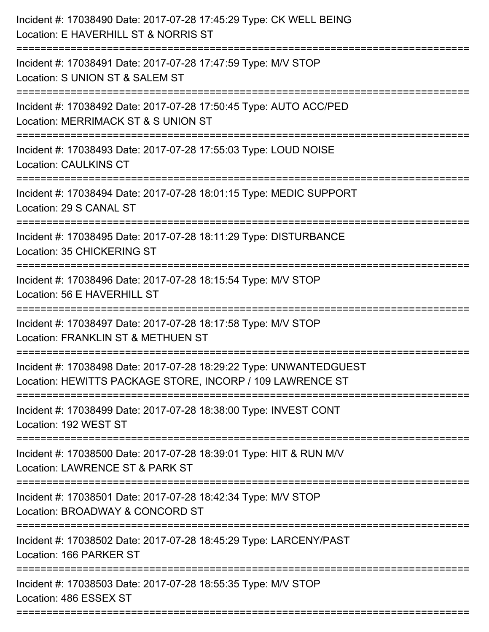| Incident #: 17038490 Date: 2017-07-28 17:45:29 Type: CK WELL BEING<br>Location: E HAVERHILL ST & NORRIS ST<br>====================== |
|--------------------------------------------------------------------------------------------------------------------------------------|
| Incident #: 17038491 Date: 2017-07-28 17:47:59 Type: M/V STOP<br>Location: S UNION ST & SALEM ST                                     |
| Incident #: 17038492 Date: 2017-07-28 17:50:45 Type: AUTO ACC/PED<br>Location: MERRIMACK ST & S UNION ST<br>================         |
| Incident #: 17038493 Date: 2017-07-28 17:55:03 Type: LOUD NOISE<br><b>Location: CAULKINS CT</b><br>.---------------------------      |
| Incident #: 17038494 Date: 2017-07-28 18:01:15 Type: MEDIC SUPPORT<br>Location: 29 S CANAL ST                                        |
| Incident #: 17038495 Date: 2017-07-28 18:11:29 Type: DISTURBANCE<br>Location: 35 CHICKERING ST                                       |
| Incident #: 17038496 Date: 2017-07-28 18:15:54 Type: M/V STOP<br>Location: 56 E HAVERHILL ST                                         |
| Incident #: 17038497 Date: 2017-07-28 18:17:58 Type: M/V STOP<br>Location: FRANKLIN ST & METHUEN ST                                  |
| Incident #: 17038498 Date: 2017-07-28 18:29:22 Type: UNWANTEDGUEST<br>Location: HEWITTS PACKAGE STORE, INCORP / 109 LAWRENCE ST      |
| Incident #: 17038499 Date: 2017-07-28 18:38:00 Type: INVEST CONT<br>Location: 192 WEST ST                                            |
| Incident #: 17038500 Date: 2017-07-28 18:39:01 Type: HIT & RUN M/V<br>Location: LAWRENCE ST & PARK ST                                |
| Incident #: 17038501 Date: 2017-07-28 18:42:34 Type: M/V STOP<br>Location: BROADWAY & CONCORD ST                                     |
| Incident #: 17038502 Date: 2017-07-28 18:45:29 Type: LARCENY/PAST<br>Location: 166 PARKER ST                                         |
| Incident #: 17038503 Date: 2017-07-28 18:55:35 Type: M/V STOP<br>Location: 486 ESSEX ST                                              |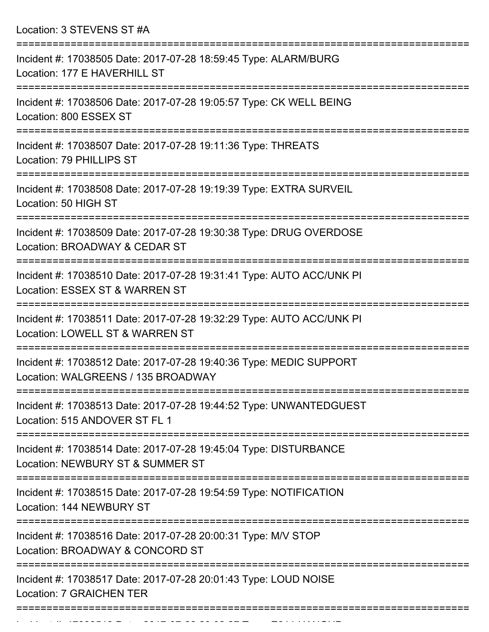Location: 3 STEVENS ST #A

| Incident #: 17038505 Date: 2017-07-28 18:59:45 Type: ALARM/BURG<br>Location: 177 E HAVERHILL ST          |
|----------------------------------------------------------------------------------------------------------|
| Incident #: 17038506 Date: 2017-07-28 19:05:57 Type: CK WELL BEING<br>Location: 800 ESSEX ST             |
| Incident #: 17038507 Date: 2017-07-28 19:11:36 Type: THREATS<br>Location: 79 PHILLIPS ST                 |
| Incident #: 17038508 Date: 2017-07-28 19:19:39 Type: EXTRA SURVEIL<br>Location: 50 HIGH ST               |
| Incident #: 17038509 Date: 2017-07-28 19:30:38 Type: DRUG OVERDOSE<br>Location: BROADWAY & CEDAR ST      |
| Incident #: 17038510 Date: 2017-07-28 19:31:41 Type: AUTO ACC/UNK PI<br>Location: ESSEX ST & WARREN ST   |
| Incident #: 17038511 Date: 2017-07-28 19:32:29 Type: AUTO ACC/UNK PI<br>Location: LOWELL ST & WARREN ST  |
| Incident #: 17038512 Date: 2017-07-28 19:40:36 Type: MEDIC SUPPORT<br>Location: WALGREENS / 135 BROADWAY |
| Incident #: 17038513 Date: 2017-07-28 19:44:52 Type: UNWANTEDGUEST<br>Location: 515 ANDOVER ST FL 1      |
| Incident #: 17038514 Date: 2017-07-28 19:45:04 Type: DISTURBANCE<br>Location: NEWBURY ST & SUMMER ST     |
| Incident #: 17038515 Date: 2017-07-28 19:54:59 Type: NOTIFICATION<br>Location: 144 NEWBURY ST            |
| Incident #: 17038516 Date: 2017-07-28 20:00:31 Type: M/V STOP<br>Location: BROADWAY & CONCORD ST         |
| Incident #: 17038517 Date: 2017-07-28 20:01:43 Type: LOUD NOISE<br><b>Location: 7 GRAICHEN TER</b>       |
|                                                                                                          |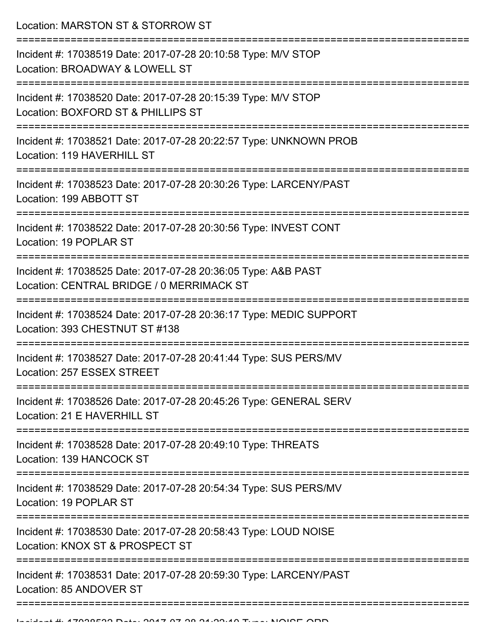Location: MARSTON ST & STORROW ST

| Incident #: 17038519 Date: 2017-07-28 20:10:58 Type: M/V STOP<br>Location: BROADWAY & LOWELL ST            |
|------------------------------------------------------------------------------------------------------------|
| Incident #: 17038520 Date: 2017-07-28 20:15:39 Type: M/V STOP<br>Location: BOXFORD ST & PHILLIPS ST        |
| Incident #: 17038521 Date: 2017-07-28 20:22:57 Type: UNKNOWN PROB<br>Location: 119 HAVERHILL ST            |
| Incident #: 17038523 Date: 2017-07-28 20:30:26 Type: LARCENY/PAST<br>Location: 199 ABBOTT ST               |
| Incident #: 17038522 Date: 2017-07-28 20:30:56 Type: INVEST CONT<br>Location: 19 POPLAR ST                 |
| Incident #: 17038525 Date: 2017-07-28 20:36:05 Type: A&B PAST<br>Location: CENTRAL BRIDGE / 0 MERRIMACK ST |
| Incident #: 17038524 Date: 2017-07-28 20:36:17 Type: MEDIC SUPPORT<br>Location: 393 CHESTNUT ST #138       |
| Incident #: 17038527 Date: 2017-07-28 20:41:44 Type: SUS PERS/MV<br>Location: 257 ESSEX STREET             |
| Incident #: 17038526 Date: 2017-07-28 20:45:26 Type: GENERAL SERV<br>Location: 21 E HAVERHILL ST           |
| Incident #: 17038528 Date: 2017-07-28 20:49:10 Type: THREATS<br>Location: 139 HANCOCK ST                   |
| Incident #: 17038529 Date: 2017-07-28 20:54:34 Type: SUS PERS/MV<br>Location: 19 POPLAR ST                 |
| Incident #: 17038530 Date: 2017-07-28 20:58:43 Type: LOUD NOISE<br>Location: KNOX ST & PROSPECT ST         |
| Incident #: 17038531 Date: 2017-07-28 20:59:30 Type: LARCENY/PAST<br>Location: 85 ANDOVER ST               |
|                                                                                                            |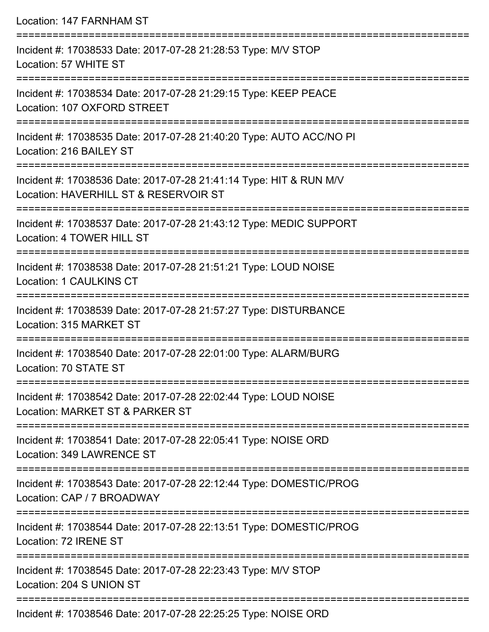Location: 147 FARNHAM ST =========================================================================== Incident #: 17038533 Date: 2017-07-28 21:28:53 Type: M/V STOP Location: 57 WHITE ST =========================================================================== Incident #: 17038534 Date: 2017-07-28 21:29:15 Type: KEEP PEACE Location: 107 OXFORD STREET =========================================================================== Incident #: 17038535 Date: 2017-07-28 21:40:20 Type: AUTO ACC/NO PI Location: 216 BAILEY ST =========================================================================== Incident #: 17038536 Date: 2017-07-28 21:41:14 Type: HIT & RUN M/V Location: HAVERHILL ST & RESERVOIR ST =========================================================================== Incident #: 17038537 Date: 2017-07-28 21:43:12 Type: MEDIC SUPPORT Location: 4 TOWER HILL ST =========================================================================== Incident #: 17038538 Date: 2017-07-28 21:51:21 Type: LOUD NOISE Location: 1 CAULKINS CT =========================================================================== Incident #: 17038539 Date: 2017-07-28 21:57:27 Type: DISTURBANCE Location: 315 MARKET ST =========================================================================== Incident #: 17038540 Date: 2017-07-28 22:01:00 Type: ALARM/BURG Location: 70 STATE ST =========================================================================== Incident #: 17038542 Date: 2017-07-28 22:02:44 Type: LOUD NOISE Location: MARKET ST & PARKER ST =========================================================================== Incident #: 17038541 Date: 2017-07-28 22:05:41 Type: NOISE ORD Location: 349 LAWRENCE ST =========================================================================== Incident #: 17038543 Date: 2017-07-28 22:12:44 Type: DOMESTIC/PROG Location: CAP / 7 BROADWAY =========================================================================== Incident #: 17038544 Date: 2017-07-28 22:13:51 Type: DOMESTIC/PROG Location: 72 IRENE ST =========================================================================== Incident #: 17038545 Date: 2017-07-28 22:23:43 Type: M/V STOP Location: 204 S UNION ST ===========================================================================

Incident #: 17038546 Date: 2017-07-28 22:25:25 Type: NOISE ORD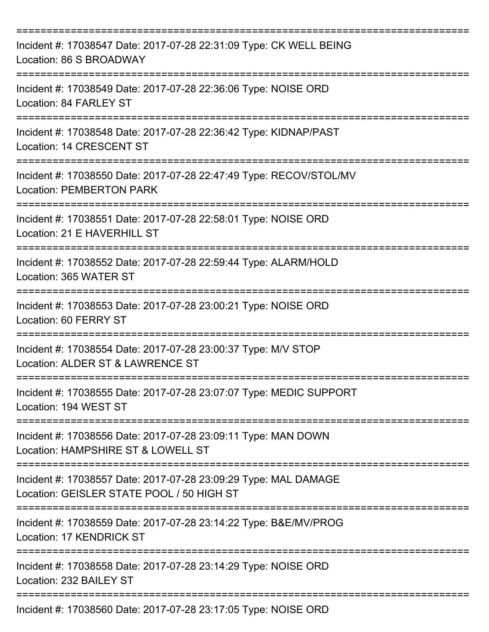| Incident #: 17038547 Date: 2017-07-28 22:31:09 Type: CK WELL BEING<br>Location: 86 S BROADWAY                |
|--------------------------------------------------------------------------------------------------------------|
| Incident #: 17038549 Date: 2017-07-28 22:36:06 Type: NOISE ORD<br>Location: 84 FARLEY ST                     |
| Incident #: 17038548 Date: 2017-07-28 22:36:42 Type: KIDNAP/PAST<br>Location: 14 CRESCENT ST                 |
| Incident #: 17038550 Date: 2017-07-28 22:47:49 Type: RECOV/STOL/MV<br><b>Location: PEMBERTON PARK</b>        |
| Incident #: 17038551 Date: 2017-07-28 22:58:01 Type: NOISE ORD<br>Location: 21 E HAVERHILL ST                |
| Incident #: 17038552 Date: 2017-07-28 22:59:44 Type: ALARM/HOLD<br>Location: 365 WATER ST                    |
| Incident #: 17038553 Date: 2017-07-28 23:00:21 Type: NOISE ORD<br>Location: 60 FERRY ST                      |
| Incident #: 17038554 Date: 2017-07-28 23:00:37 Type: M/V STOP<br>Location: ALDER ST & LAWRENCE ST            |
| Incident #: 17038555 Date: 2017-07-28 23:07:07 Type: MEDIC SUPPORT<br>Location: 194 WEST ST<br>------------- |
| Incident #: 17038556 Date: 2017-07-28 23:09:11 Type: MAN DOWN<br>Location: HAMPSHIRE ST & LOWELL ST          |
| Incident #: 17038557 Date: 2017-07-28 23:09:29 Type: MAL DAMAGE<br>Location: GEISLER STATE POOL / 50 HIGH ST |
| Incident #: 17038559 Date: 2017-07-28 23:14:22 Type: B&E/MV/PROG<br><b>Location: 17 KENDRICK ST</b>          |
| Incident #: 17038558 Date: 2017-07-28 23:14:29 Type: NOISE ORD<br>Location: 232 BAILEY ST                    |
| Incident #: 17038560 Date: 2017-07-28 23:17:05 Type: NOISE ORD                                               |